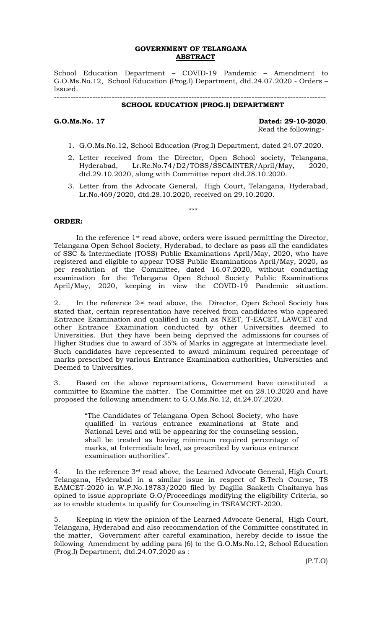## **GOVERNMENT OF TELANGANA ABSTRACT**

School Education Department – COVID-19 Pandemic – Amendment to G.O.Ms.No.12, School Education (Prog.I) Department, dtd.24.07.2020 - Orders – Issued.

#### ---------------------------------------------------------------------------------------------------  **SCHOOL EDUCATION (PROG.I) DEPARTMENT**

**G.O.Ms.No. 17 Dated: 29-10-2020**. Read the following:-

- 1. G.O.Ms.No.12, School Education (Prog.I) Department, dated 24.07.2020.
- 2. Letter received from the Director, Open School society, Telangana, Hyderabad, Lr.Rc.No.74/D2/TOSS/SSC&INTER/April/May, 2020, dtd.29.10.2020, along with Committee report dtd.28.10.2020.
- 3. Letter from the Advocate General, High Court, Telangana, Hyderabad, Lr.No.469/2020, dtd.28.10.2020, received on 29.10.2020.

\*\*\*

### **ORDER:**

In the reference 1st read above, orders were issued permitting the Director, Telangana Open School Society, Hyderabad, to declare as pass all the candidates of SSC & Intermediate (TOSS) Public Examinations April/May, 2020, who have registered and eligible to appear TOSS Public Examinations April/May, 2020, as per resolution of the Committee, dated 16.07.2020, without conducting examination for the Telangana Open School Society Public Examinations April/May, 2020, keeping in view the COVID-19 Pandemic situation.

2. In the reference 2nd read above, the Director, Open School Society has stated that, certain representation have received from candidates who appeared Entrance Examination and qualified in such as NEET, T-EACET, LAWCET and other Entrance Examination conducted by other Universities deemed to Universities. But they have been being deprived the admissions for courses of Higher Studies due to award of 35% of Marks in aggregate at Intermediate level. Such candidates have represented to award minimum required percentage of marks prescribed by various Entrance Examination authorities, Universities and Deemed to Universities.

3. Based on the above representations, Government have constituted a committee to Examine the matter. The Committee met on 28.10.2020 and have proposed the following amendment to G.O.Ms.No.12, dt.24.07.2020.

> "The Candidates of Telangana Open School Society, who have qualified in various entrance examinations at State and National Level and will be appearing for the counseling session, shall be treated as having minimum required percentage of marks, at Intermediate level, as prescribed by various entrance examination authorities".

4. In the reference 3rd read above, the Learned Advocate General, High Court, Telangana, Hyderabad in a similar issue in respect of B.Tech Course, TS EAMCET-2020 in W.P.No.18783/2020 filed by Dagilla Saaketh Chaitanya has opined to issue appropriate G.O/Proceedings modifying the eligibility Criteria, so as to enable students to qualify for Counseling in TSEAMCET-2020.

5. Keeping in view the opinion of the Learned Advocate General, High Court, Telangana, Hyderabad and also recommendation of the Committee constituted in the matter, Government after careful examination, hereby decide to issue the following Amendment by adding para (6) to the G.O.Ms.No.12, School Education (Prog,I) Department, dtd.24.07.2020 as :